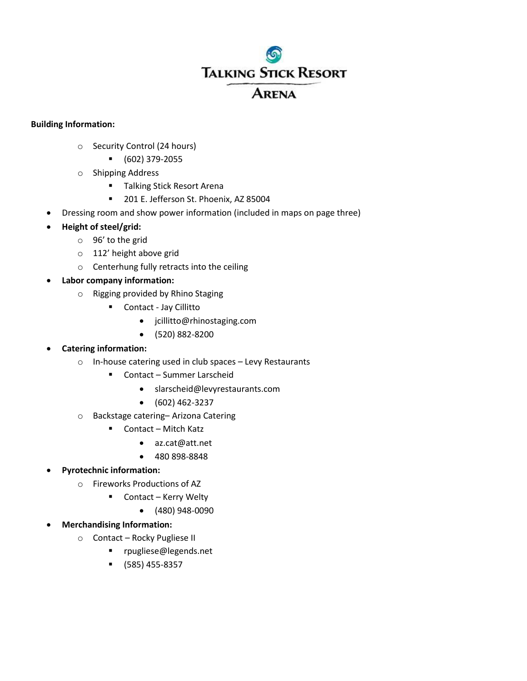# **TALKING STICK RESORT**

# **ARENA**

# **Building Information:**

- o Security Control (24 hours)
	- (602) 379-2055
- o Shipping Address
	- **Talking Stick Resort Arena**
	- **201 E. Jefferson St. Phoenix, AZ 85004**
- Dressing room and show power information (included in maps on page three)
- **Height of steel/grid:** 
	- o 96' to the grid
	- o 112' height above grid
	- o Centerhung fully retracts into the ceiling
- **Labor company information:** 
	- o Rigging provided by Rhino Staging
		- Contact Jay Cillitto
			- jcillitto@rhinostaging.com
			- (520) 882-8200
- **Catering information:** 
	- o In-house catering used in club spaces Levy Restaurants
		- Contact Summer Larscheid
			- slarscheid@levyrestaurants.com
			- $\bullet$  (602) 462-3237
	- o Backstage catering– Arizona Catering
		- Contact Mitch Katz
			- az.cat@att.net
			- 480 898-8848
- **Pyrotechnic information:** 
	- o Fireworks Productions of AZ
		- Contact Kerry Welty
			- (480) 948-0090
- **Merchandising Information:** 
	- o Contact Rocky Pugliese II
		- rpugliese@legends.net
		- (585) 455-8357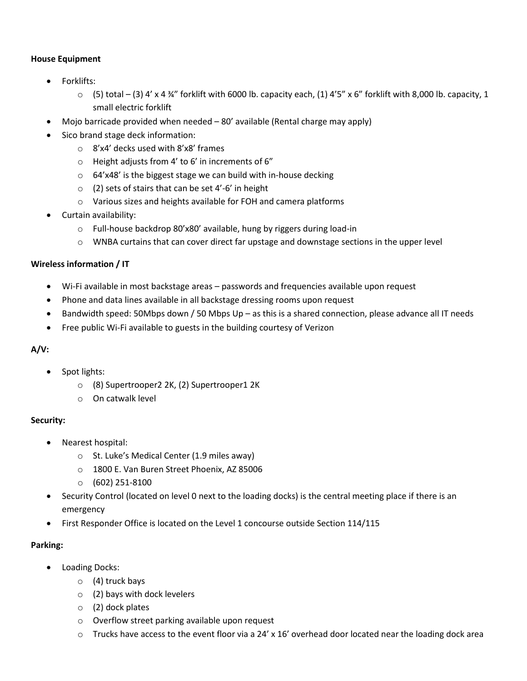# **House Equipment**

- Forklifts:
	- $\circ$  (5) total (3) 4' x 4 34" forklift with 6000 lb. capacity each, (1) 4'5" x 6" forklift with 8,000 lb. capacity, 1 small electric forklift
- Mojo barricade provided when needed 80' available (Rental charge may apply)
- Sico brand stage deck information:
	- o 8'x4' decks used with 8'x8' frames
	- o Height adjusts from 4' to 6' in increments of 6"
	- o 64'x48' is the biggest stage we can build with in-house decking
	- o (2) sets of stairs that can be set 4'-6' in height
	- o Various sizes and heights available for FOH and camera platforms
- Curtain availability:
	- o Full-house backdrop 80'x80' available, hung by riggers during load-in
	- $\circ$  WNBA curtains that can cover direct far upstage and downstage sections in the upper level

#### **Wireless information / IT**

- Wi-Fi available in most backstage areas passwords and frequencies available upon request
- Phone and data lines available in all backstage dressing rooms upon request
- Bandwidth speed: 50Mbps down / 50 Mbps Up as this is a shared connection, please advance all IT needs
- Free public Wi-Fi available to guests in the building courtesy of Verizon

# **A/V:**

- Spot lights:
	- o (8) Supertrooper2 2K, (2) Supertrooper1 2K
	- o On catwalk level

#### **Security:**

- Nearest hospital:
	- o St. Luke's Medical Center (1.9 miles away)
	- o 1800 E. Van Buren Street Phoenix, AZ 85006
	- o (602) 251-8100
- Security Control (located on level 0 next to the loading docks) is the central meeting place if there is an emergency
- First Responder Office is located on the Level 1 concourse outside Section 114/115

# **Parking:**

- Loading Docks:
	- $\circ$  (4) truck bays
	- $\circ$  (2) bays with dock levelers
	- o (2) dock plates
	- o Overflow street parking available upon request
	- $\circ$  Trucks have access to the event floor via a 24' x 16' overhead door located near the loading dock area